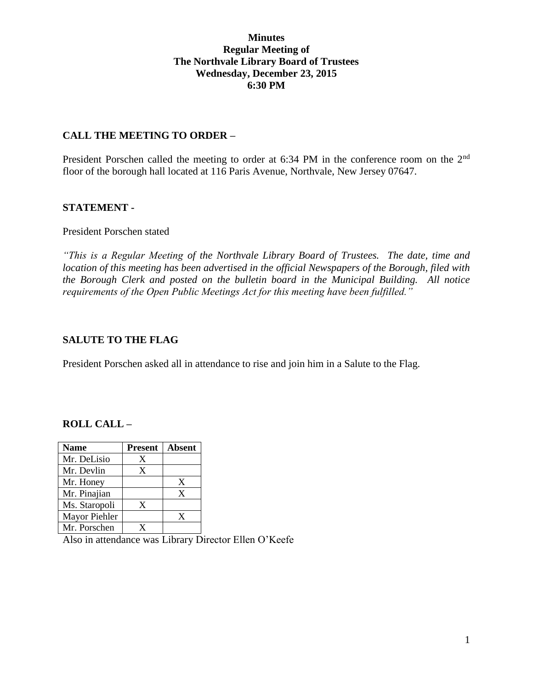### **Minutes Regular Meeting of The Northvale Library Board of Trustees Wednesday, December 23, 2015 6:30 PM**

### **CALL THE MEETING TO ORDER –**

President Porschen called the meeting to order at 6:34 PM in the conference room on the 2<sup>nd</sup> floor of the borough hall located at 116 Paris Avenue, Northvale, New Jersey 07647.

### **STATEMENT -**

#### President Porschen stated

*"This is a Regular Meeting of the Northvale Library Board of Trustees. The date, time and location of this meeting has been advertised in the official Newspapers of the Borough, filed with the Borough Clerk and posted on the bulletin board in the Municipal Building. All notice requirements of the Open Public Meetings Act for this meeting have been fulfilled."* 

### **SALUTE TO THE FLAG**

President Porschen asked all in attendance to rise and join him in a Salute to the Flag.

# **ROLL CALL –**

| <b>Name</b>   | <b>Present</b> | <b>Absent</b> |
|---------------|----------------|---------------|
| Mr. DeLisio   | X              |               |
| Mr. Devlin    | X              |               |
| Mr. Honey     |                | X             |
| Mr. Pinajian  |                | X             |
| Ms. Staropoli | X              |               |
| Mayor Piehler |                | X             |
| Mr. Porschen  | x              |               |

Also in attendance was Library Director Ellen O'Keefe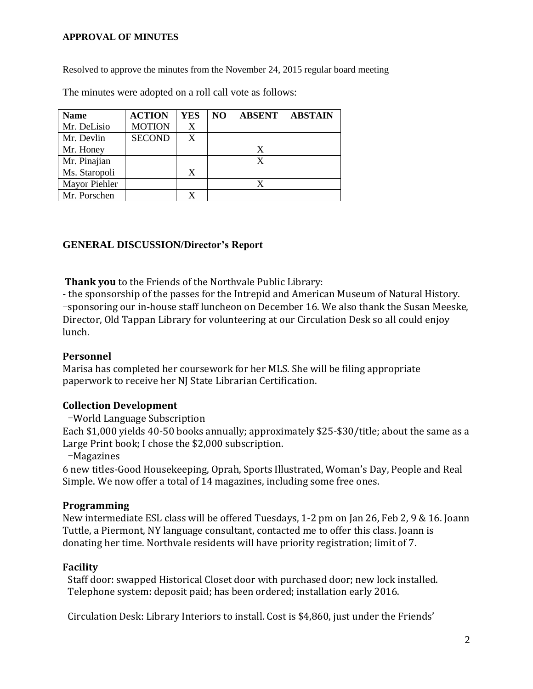#### **APPROVAL OF MINUTES**

Resolved to approve the minutes from the November 24, 2015 regular board meeting

The minutes were adopted on a roll call vote as follows:

| <b>Name</b>   | <b>ACTION</b> | YES | N <sub>O</sub> | <b>ABSENT</b> | <b>ABSTAIN</b> |
|---------------|---------------|-----|----------------|---------------|----------------|
| Mr. DeLisio   | <b>MOTION</b> | X   |                |               |                |
| Mr. Devlin    | <b>SECOND</b> | X   |                |               |                |
| Mr. Honey     |               |     |                |               |                |
| Mr. Pinajian  |               |     |                |               |                |
| Ms. Staropoli |               |     |                |               |                |
| Mayor Piehler |               |     |                |               |                |
| Mr. Porschen  |               |     |                |               |                |

#### **GENERAL DISCUSSION/Director's Report**

**Thank you** to the Friends of the Northvale Public Library:

- the sponsorship of the passes for the Intrepid and American Museum of Natural History. -sponsoring our in-house staff luncheon on December 16. We also thank the Susan Meeske, Director, Old Tappan Library for volunteering at our Circulation Desk so all could enjoy lunch.

#### **Personnel**

Marisa has completed her coursework for her MLS. She will be filing appropriate paperwork to receive her NJ State Librarian Certification.

# **Collection Development**

-World Language Subscription

Each \$1,000 yields 40-50 books annually; approximately \$25-\$30/title; about the same as a Large Print book; I chose the \$2,000 subscription.

-Magazines

6 new titles-Good Housekeeping, Oprah, Sports Illustrated, Woman's Day, People and Real Simple. We now offer a total of 14 magazines, including some free ones.

# **Programming**

New intermediate ESL class will be offered Tuesdays, 1-2 pm on Jan 26, Feb 2, 9 & 16. Joann Tuttle, a Piermont, NY language consultant, contacted me to offer this class. Joann is donating her time. Northvale residents will have priority registration; limit of 7.

# **Facility**

Staff door: swapped Historical Closet door with purchased door; new lock installed. Telephone system: deposit paid; has been ordered; installation early 2016.

Circulation Desk: Library Interiors to install. Cost is \$4,860, just under the Friends'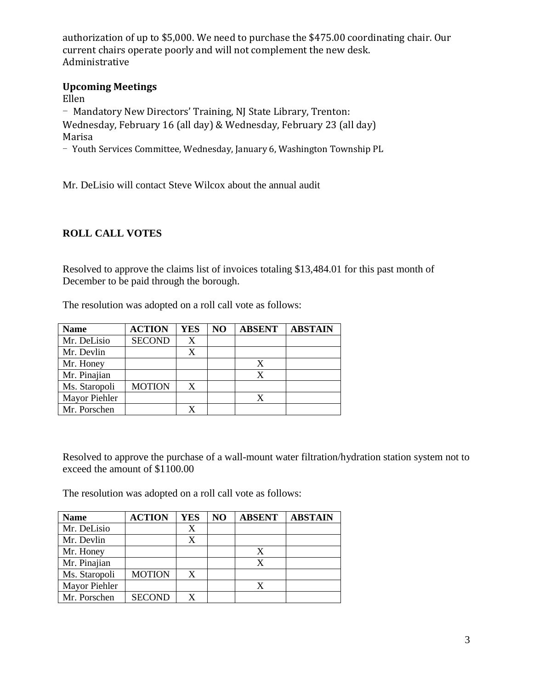authorization of up to \$5,000. We need to purchase the \$475.00 coordinating chair. Our current chairs operate poorly and will not complement the new desk. Administrative

### **Upcoming Meetings**

Ellen

- Mandatory New Directors' Training, NJ State Library, Trenton: Wednesday, February 16 (all day) & Wednesday, February 23 (all day) Marisa

- Youth Services Committee, Wednesday, January 6, Washington Township PL

Mr. DeLisio will contact Steve Wilcox about the annual audit

# **ROLL CALL VOTES**

Resolved to approve the claims list of invoices totaling \$13,484.01 for this past month of December to be paid through the borough.

The resolution was adopted on a roll call vote as follows:

| <b>Name</b>   | <b>ACTION</b> | YES | NO | <b>ABSENT</b> | <b>ABSTAIN</b> |
|---------------|---------------|-----|----|---------------|----------------|
| Mr. DeLisio   | <b>SECOND</b> | X   |    |               |                |
| Mr. Devlin    |               | X   |    |               |                |
| Mr. Honey     |               |     |    | X             |                |
| Mr. Pinajian  |               |     |    |               |                |
| Ms. Staropoli | <b>MOTION</b> | X   |    |               |                |
| Mayor Piehler |               |     |    |               |                |
| Mr. Porschen  |               |     |    |               |                |

Resolved to approve the purchase of a wall-mount water filtration/hydration station system not to exceed the amount of \$1100.00

The resolution was adopted on a roll call vote as follows:

| <b>Name</b>   | <b>ACTION</b> | <b>YES</b> | NO | <b>ABSENT</b> | <b>ABSTAIN</b> |
|---------------|---------------|------------|----|---------------|----------------|
| Mr. DeLisio   |               | X          |    |               |                |
| Mr. Devlin    |               | X          |    |               |                |
| Mr. Honey     |               |            |    | X             |                |
| Mr. Pinajian  |               |            |    | X             |                |
| Ms. Staropoli | <b>MOTION</b> | X          |    |               |                |
| Mayor Piehler |               |            |    | X             |                |
| Mr. Porschen  | <b>SECOND</b> |            |    |               |                |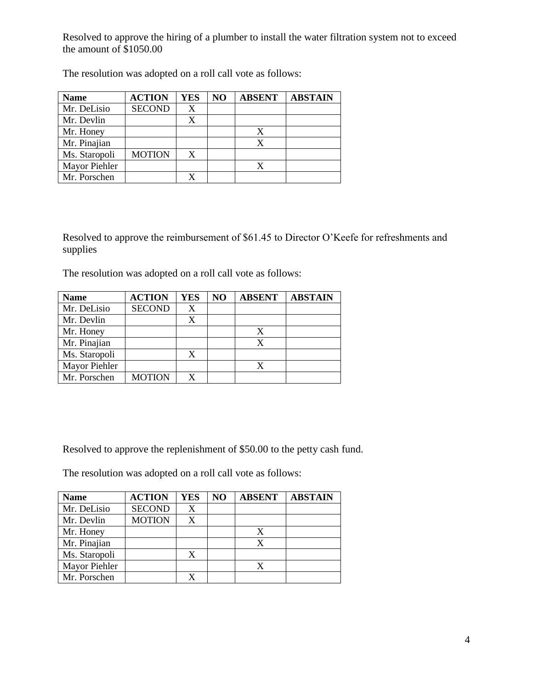Resolved to approve the hiring of a plumber to install the water filtration system not to exceed the amount of \$1050.00

| <b>Name</b>   | <b>ACTION</b> | YES | N <sub>O</sub> | <b>ABSENT</b> | <b>ABSTAIN</b> |
|---------------|---------------|-----|----------------|---------------|----------------|
| Mr. DeLisio   | <b>SECOND</b> | X   |                |               |                |
| Mr. Devlin    |               |     |                |               |                |
| Mr. Honey     |               |     |                |               |                |
| Mr. Pinajian  |               |     |                |               |                |
| Ms. Staropoli | <b>MOTION</b> | X   |                |               |                |
| Mayor Piehler |               |     |                |               |                |
| Mr. Porschen  |               |     |                |               |                |

The resolution was adopted on a roll call vote as follows:

Resolved to approve the reimbursement of \$61.45 to Director O'Keefe for refreshments and supplies

The resolution was adopted on a roll call vote as follows:

| <b>Name</b>   | <b>ACTION</b> | YES | NO | <b>ABSENT</b> | <b>ABSTAIN</b> |
|---------------|---------------|-----|----|---------------|----------------|
| Mr. DeLisio   | <b>SECOND</b> | X   |    |               |                |
| Mr. Devlin    |               |     |    |               |                |
| Mr. Honey     |               |     |    | X             |                |
| Mr. Pinajian  |               |     |    | X             |                |
| Ms. Staropoli |               | X   |    |               |                |
| Mayor Piehler |               |     |    |               |                |
| Mr. Porschen  | <b>MOTION</b> |     |    |               |                |

Resolved to approve the replenishment of \$50.00 to the petty cash fund.

The resolution was adopted on a roll call vote as follows:

| <b>Name</b>          | <b>ACTION</b> | <b>YES</b> | NO | <b>ABSENT</b> | <b>ABSTAIN</b> |
|----------------------|---------------|------------|----|---------------|----------------|
| Mr. DeLisio          | <b>SECOND</b> | X          |    |               |                |
| Mr. Devlin           | <b>MOTION</b> |            |    |               |                |
| Mr. Honey            |               |            |    |               |                |
| Mr. Pinajian         |               |            |    |               |                |
| Ms. Staropoli        |               |            |    |               |                |
| <b>Mayor Piehler</b> |               |            |    |               |                |
| Mr. Porschen         |               |            |    |               |                |